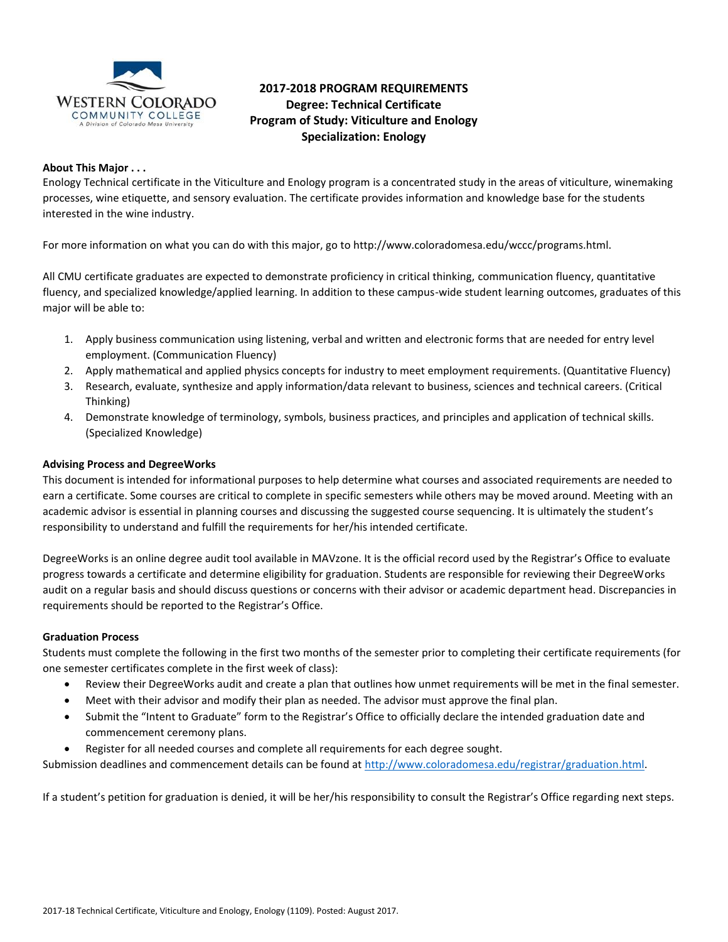

# **2017-2018 PROGRAM REQUIREMENTS Degree: Technical Certificate Program of Study: Viticulture and Enology Specialization: Enology**

### **About This Major . . .**

Enology Technical certificate in the Viticulture and Enology program is a concentrated study in the areas of viticulture, winemaking processes, wine etiquette, and sensory evaluation. The certificate provides information and knowledge base for the students interested in the wine industry.

For more information on what you can do with this major, go to http://www.coloradomesa.edu/wccc/programs.html.

All CMU certificate graduates are expected to demonstrate proficiency in critical thinking, communication fluency, quantitative fluency, and specialized knowledge/applied learning. In addition to these campus-wide student learning outcomes, graduates of this major will be able to:

- 1. Apply business communication using listening, verbal and written and electronic forms that are needed for entry level employment. (Communication Fluency)
- 2. Apply mathematical and applied physics concepts for industry to meet employment requirements. (Quantitative Fluency)
- 3. Research, evaluate, synthesize and apply information/data relevant to business, sciences and technical careers. (Critical Thinking)
- 4. Demonstrate knowledge of terminology, symbols, business practices, and principles and application of technical skills. (Specialized Knowledge)

### **Advising Process and DegreeWorks**

This document is intended for informational purposes to help determine what courses and associated requirements are needed to earn a certificate. Some courses are critical to complete in specific semesters while others may be moved around. Meeting with an academic advisor is essential in planning courses and discussing the suggested course sequencing. It is ultimately the student's responsibility to understand and fulfill the requirements for her/his intended certificate.

DegreeWorks is an online degree audit tool available in MAVzone. It is the official record used by the Registrar's Office to evaluate progress towards a certificate and determine eligibility for graduation. Students are responsible for reviewing their DegreeWorks audit on a regular basis and should discuss questions or concerns with their advisor or academic department head. Discrepancies in requirements should be reported to the Registrar's Office.

#### **Graduation Process**

Students must complete the following in the first two months of the semester prior to completing their certificate requirements (for one semester certificates complete in the first week of class):

- Review their DegreeWorks audit and create a plan that outlines how unmet requirements will be met in the final semester.
- Meet with their advisor and modify their plan as needed. The advisor must approve the final plan.
- Submit the "Intent to Graduate" form to the Registrar's Office to officially declare the intended graduation date and commencement ceremony plans.
- Register for all needed courses and complete all requirements for each degree sought.

Submission deadlines and commencement details can be found at [http://www.coloradomesa.edu/registrar/graduation.html.](http://www.coloradomesa.edu/registrar/graduation.html)

If a student's petition for graduation is denied, it will be her/his responsibility to consult the Registrar's Office regarding next steps.